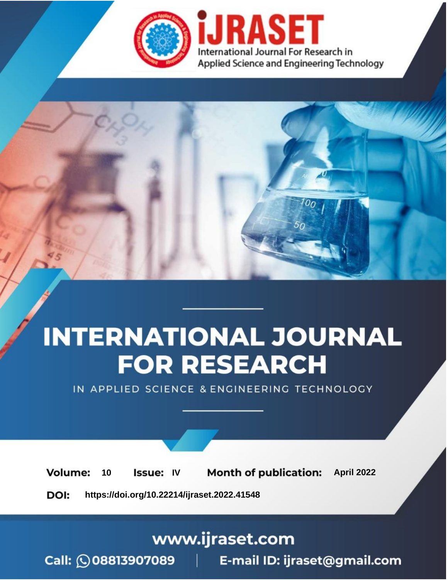

# **INTERNATIONAL JOURNAL FOR RESEARCH**

IN APPLIED SCIENCE & ENGINEERING TECHNOLOGY

10 **Issue: IV Month of publication:** April 2022 **Volume:** 

**https://doi.org/10.22214/ijraset.2022.41548**DOI:

www.ijraset.com

Call: 008813907089 | E-mail ID: ijraset@gmail.com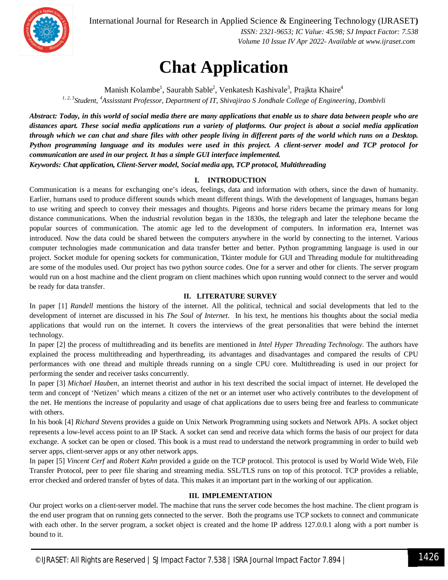

International Journal for Research in Applied Science & Engineering Technology (IJRASET**)**

 *ISSN: 2321-9653; IC Value: 45.98; SJ Impact Factor: 7.538 Volume 10 Issue IV Apr 2022- Available at www.ijraset.com*

### **Chat Application**

Manish Kolambe<sup>1</sup>, Saurabh Sable<sup>2</sup>, Venkatesh Kashivale<sup>3</sup>, Prajkta Khaire<sup>4</sup> *1, 2, 3 Student, <sup>4</sup>Assisstant Professor, Department of IT, Shivajirao S Jondhale College of Engineering, Dombivli*

*Abstract: Today, in this world of social media there are many applications that enable us to share data between people who are distances apart. These social media applications run a variety of platforms. Our project is about a social media application through which we can chat and share files with other people living in different parts of the world which runs on a Desktop. Python programming language and its modules were used in this project. A client-server model and TCP protocol for communication are used in our project. It has a simple GUI interface implemented.*

*Keywords: Chat application, Client-Server model, Social media app, TCP protocol, Multithreading*

#### **I. INTRODUCTION**

Communication is a means for exchanging one's ideas, feelings, data and information with others, since the dawn of humanity. Earlier, humans used to produce different sounds which meant different things. With the development of languages, humans began to use writing and speech to convey their messages and thoughts. Pigeons and horse riders became the primary means for long distance communications. When the industrial revolution began in the 1830s, the telegraph and later the telephone became the popular sources of communication. The atomic age led to the development of computers. In information era, Internet was introduced. Now the data could be shared between the computers anywhere in the world by connecting to the internet. Various computer technologies made communication and data transfer better and better. Python programming language is used in our project. Socket module for opening sockets for communication, Tkinter module for GUI and Threading module for multithreading are some of the modules used. Our project has two python source codes. One for a server and other for clients. The server program would run on a host machine and the client program on client machines which upon running would connect to the server and would be ready for data transfer.

#### **II. LITERATURE SURVEY**

In paper [1] *Randell* mentions the history of the internet. All the political, technical and social developments that led to the development of internet are discussed in his *The Soul of Internet*. In his text, he mentions his thoughts about the social media applications that would run on the internet. It covers the interviews of the great personalities that were behind the internet technology.

In paper [2] the process of multithreading and its benefits are mentioned in *Intel Hyper Threading Technology.* The authors have explained the process multithreading and hyperthreading, its advantages and disadvantages and compared the results of CPU performances with one thread and multiple threads running on a single CPU core. Multithreading is used in our project for performing the sender and receiver tasks concurrently.

In paper [3] *Michael Hauben*, an internet theorist and author in his text described the social impact of internet. He developed the term and concept of 'Netizen' which means a citizen of the net or an internet user who actively contributes to the development of the net. He mentions the increase of popularity and usage of chat applications due to users being free and fearless to communicate with others.

In his book [4] *Richard Stevens* provides a guide on Unix Network Programming using sockets and Network APIs. A socket object represents a low-level access point to an IP Stack. A socket can send and receive data which forms the basis of our project for data exchange. A socket can be open or closed. This book is a must read to understand the network programming in order to build web server apps, client-server apps or any other network apps.

In paper [5] *Vincent Cerf* and *Robert Kahn* provided a guide on the TCP protocol. This protocol is used by World Wide Web, File Transfer Protocol, peer to peer file sharing and streaming media. SSL/TLS runs on top of this protocol. TCP provides a reliable, error checked and ordered transfer of bytes of data. This makes it an important part in the working of our application.

#### **III. IMPLEMENTATION**

Our project works on a client-server model. The machine that runs the server code becomes the host machine. The client program is the end user program that on running gets connected to the server. Both the programs use TCP sockets to connect and communicate with each other. In the server program, a socket object is created and the home IP address 127.0.0.1 along with a port number is bound to it.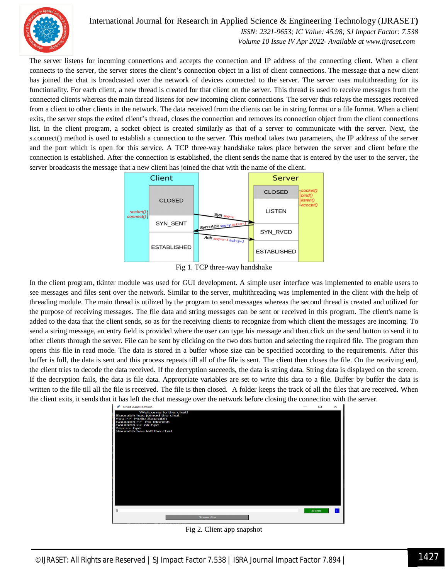

#### International Journal for Research in Applied Science & Engineering Technology (IJRASET**)**

 *ISSN: 2321-9653; IC Value: 45.98; SJ Impact Factor: 7.538 Volume 10 Issue IV Apr 2022- Available at www.ijraset.com*

The server listens for incoming connections and accepts the connection and IP address of the connecting client. When a client connects to the server, the server stores the client's connection object in a list of client connections. The message that a new client has joined the chat is broadcasted over the network of devices connected to the server. The server uses multithreading for its functionality. For each client, a new thread is created for that client on the server. This thread is used to receive messages from the connected clients whereas the main thread listens for new incoming client connections. The server thus relays the messages received from a client to other clients in the network. The data received from the clients can be in string format or a file format. When a client exits, the server stops the exited client's thread, closes the connection and removes its connection object from the client connections list. In the client program, a socket object is created similarly as that of a server to communicate with the server. Next, the s.connect() method is used to establish a connection to the server. This method takes two parameters, the IP address of the server and the port which is open for this service. A TCP three-way handshake takes place between the server and client before the connection is established. After the connection is established, the client sends the name that is entered by the user to the server, the server broadcasts the message that a new client has joined the chat with the name of the client.



Fig 1. TCP three-way handshake

In the client program, tkinter module was used for GUI development. A simple user interface was implemented to enable users to see messages and files sent over the network. Similar to the server, multithreading was implemented in the client with the help of threading module. The main thread is utilized by the program to send messages whereas the second thread is created and utilized for the purpose of receiving messages. The file data and string messages can be sent or received in this program. The client's name is added to the data that the client sends, so as for the receiving clients to recognize from which client the messages are incoming. To send a string message, an entry field is provided where the user can type his message and then click on the send button to send it to other clients through the server. File can be sent by clicking on the two dots button and selecting the required file. The program then opens this file in read mode. The data is stored in a buffer whose size can be specified according to the requirements. After this buffer is full, the data is sent and this process repeats till all of the file is sent. The client then closes the file. On the receiving end, the client tries to decode the data received. If the decryption succeeds, the data is string data. String data is displayed on the screen. If the decryption fails, the data is file data. Appropriate variables are set to write this data to a file. Buffer by buffer the data is written to the file till all the file is received. The file is then closed. A folder keeps the track of all the files that are received. When the client exits, it sends that it has left the chat message over the network before closing the connection with the server.



Fig 2. Client app snapshot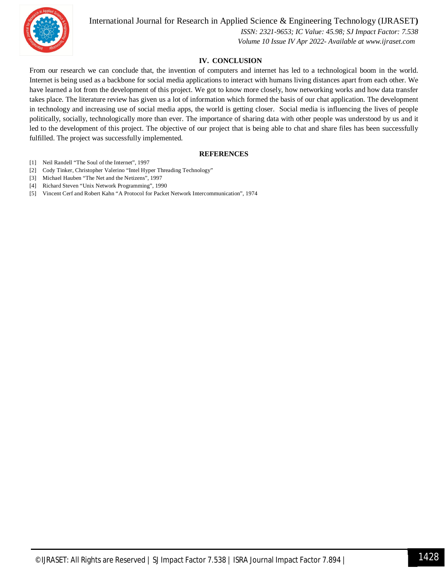

International Journal for Research in Applied Science & Engineering Technology (IJRASET**)**

 *ISSN: 2321-9653; IC Value: 45.98; SJ Impact Factor: 7.538 Volume 10 Issue IV Apr 2022- Available at www.ijraset.com*

#### **IV. CONCLUSION**

From our research we can conclude that, the invention of computers and internet has led to a technological boom in the world. Internet is being used as a backbone for social media applications to interact with humans living distances apart from each other. We have learned a lot from the development of this project. We got to know more closely, how networking works and how data transfer takes place. The literature review has given us a lot of information which formed the basis of our chat application. The development in technology and increasing use of social media apps, the world is getting closer. Social media is influencing the lives of people politically, socially, technologically more than ever. The importance of sharing data with other people was understood by us and it led to the development of this project. The objective of our project that is being able to chat and share files has been successfully fulfilled. The project was successfully implemented.

#### **REFERENCES**

- [1] Neil Randell "The Soul of the Internet", 1997
- [2] Cody Tinker, Christopher Valerino "Intel Hyper Threading Technology"
- [3] Michael Hauben "The Net and the Netizens", 1997
- [4] Richard Steven "Unix Network Programming", 1990
- [5] Vincent Cerf and Robert Kahn "A Protocol for Packet Network Intercommunication", 1974